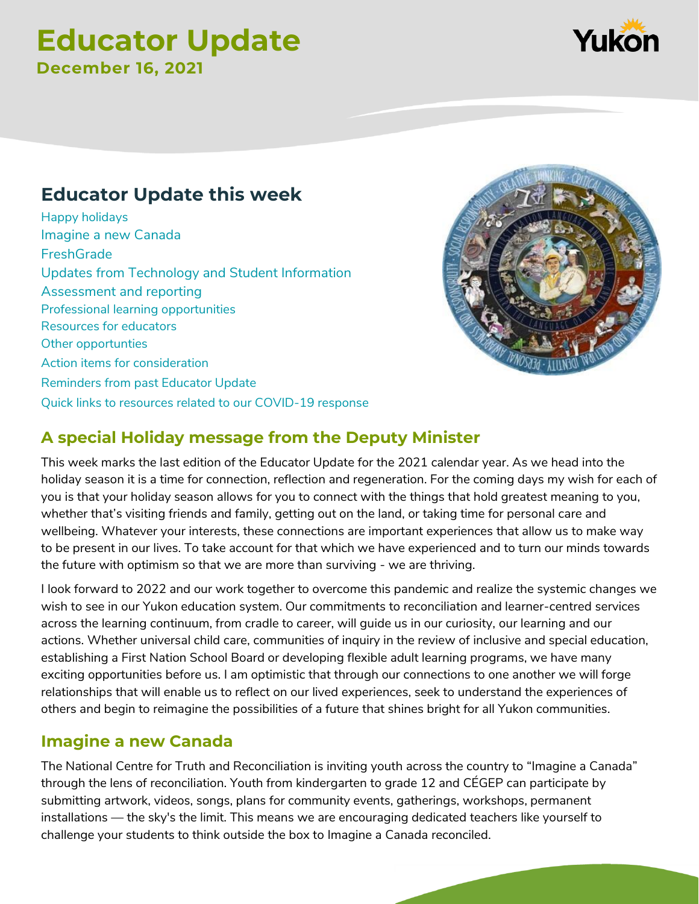# **Educator Update December 16, 2021**

## **Educator Update this week**

[Happy holidays](#page-0-0) [Imagine a new Canada](#page-0-1) **[FreshGrade](#page-1-0)** [Updates from Technology and Student Information](#page-1-1) [Assessment and reporting](#page-1-2) [Professional learning opportunities](#page-1-3) [Resources for educators](#page-2-0) [Other opportunties](#page-3-0) [Action items for consideration](#page-4-0) [Reminders from past](#page-4-1) Educator Update [Quick links to resources related to our COVID-19 response](#page-4-2)

# <span id="page-0-0"></span>**A special Holiday message from the Deputy Minister** This week marks the last edition of the Educator Update for the 2021 calendar year. As we head into the

holiday season it is a time for connection, reflection and regeneration. For the coming days my wish for each of you is that your holiday season allows for you to connect with the things that hold greatest meaning to you, whether that's visiting friends and family, getting out on the land, or taking time for personal care and wellbeing. Whatever your interests, these connections are important experiences that allow us to make way to be present in our lives. To take account for that which we have experienced and to turn our minds towards the future with optimism so that we are more than surviving - we are thriving.

I look forward to 2022 and our work together to overcome this pandemic and realize the systemic changes we wish to see in our Yukon education system. Our commitments to reconciliation and learner-centred services across the learning continuum, from cradle to career, will guide us in our curiosity, our learning and our actions. Whether universal child care, communities of inquiry in the review of inclusive and special education, establishing a First Nation School Board or developing flexible adult learning programs, we have many exciting opportunities before us. I am optimistic that through our connections to one another we will forge relationships that will enable us to reflect on our lived experiences, seek to understand the experiences of others and begin to reimagine the possibilities of a future that shines bright for all Yukon communities.

## <span id="page-0-1"></span>**Imagine a new Canada**

The National Centre for Truth and Reconciliation is inviting youth across the country to "Imagine a Canada" through the lens of reconciliation. Youth from kindergarten to grade 12 and CÉGEP can participate by submitting artwork, videos, songs, plans for community events, gatherings, workshops, permanent installations — the sky's the limit. This means we are encouraging dedicated teachers like yourself to challenge your students to think outside the box to Imagine a Canada reconciled.



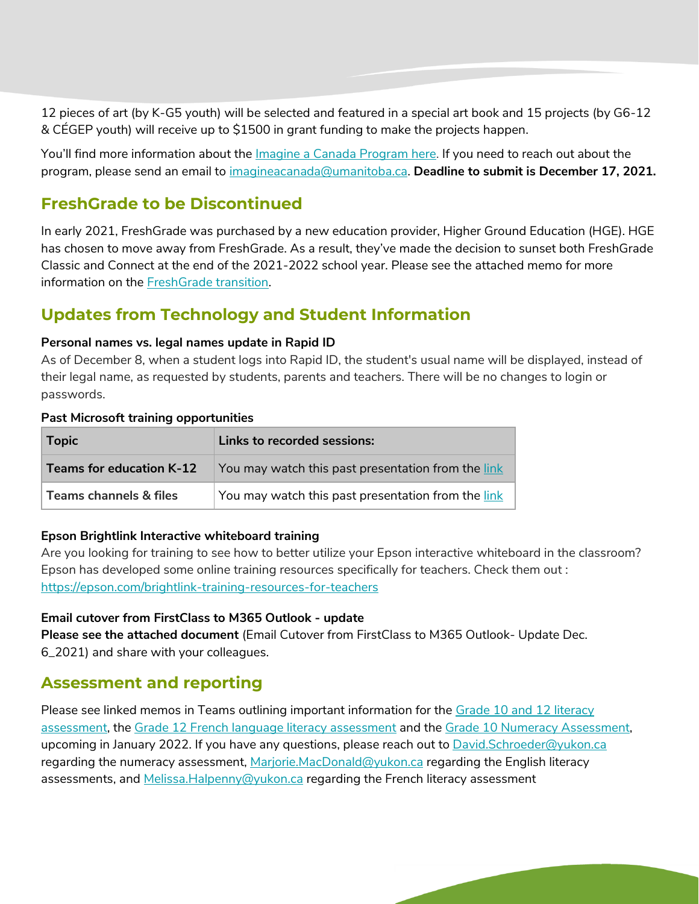12 pieces of art (by K-G5 youth) will be selected and featured in a special art book and 15 projects (by G6-12 & CÉGEP youth) will receive up to \$1500 in grant funding to make the projects happen.

You'll find more information about the *[Imagine a Canada Program](https://umanitoba.us3.list-manage.com/track/click?u=594bedb66f886e82092da97a7&id=5292f21739&e=d6bf3a6ce3) here*. If you need to reach out about the program, please send an email to [imagineacanada@umanitoba.ca.](mailto:imagineacanada@umanitoba.ca) **Deadline to submit is December 17, 2021.** 

## <span id="page-1-0"></span>**FreshGrade to be Discontinued**

In early 2021, FreshGrade was purchased by a new education provider, Higher Ground Education (HGE). HGE has chosen to move away from FreshGrade. As a result, they've made the decision to sunset both FreshGrade Classic and Connect at the end of the 2021-2022 school year. Please see the attached memo for more information on the [FreshGrade transition.](file://///vdi-profiles/home/mhalpenn/Desktop/MemoFreshgradeDec2021%20final.docx)

## <span id="page-1-1"></span>**Updates from Technology and Student Information**

#### **Personal names vs. legal names update in Rapid ID**

As of December 8, when a student logs into Rapid ID, the student's usual name will be displayed, instead of their legal name, as requested by students, parents and teachers. There will be no changes to login or passwords.

#### **Past Microsoft training opportunities**

| <b>Topic</b>                      | Links to recorded sessions:                          |
|-----------------------------------|------------------------------------------------------|
| <b>Teams for education K-12</b>   | You may watch this past presentation from the link   |
| <b>Teams channels &amp; files</b> | You may watch this past presentation from the link \ |

#### **Epson Brightlink Interactive whiteboard training**

Are you looking for training to see how to better utilize your Epson interactive whiteboard in the classroom? Epson has developed some online training resources specifically for teachers. Check them out : <https://epson.com/brightlink-training-resources-for-teachers>

#### **Email cutover from FirstClass to M365 Outlook - update**

**Please see the attached document** (Email Cutover from FirstClass to M365 Outlook- Update Dec. 6\_2021) and share with your colleagues.

## <span id="page-1-2"></span>**Assessment and reporting**

<span id="page-1-3"></span>Please see linked memos in Teams outlining important information for the [Grade 10 and 12 literacy](https://teams.microsoft.com/l/message/19:a58122e7e98443fc902d6b9b30bba8af@thread.tacv2/1638985607027?tenantId=45186b92-06e2-461c-8c8e-4566af8f511e&groupId=6161fff8-78b3-41a1-9cd5-3bd1479ec659&parentMessageId=1638985607027&teamName=Yukon%20Secondary%20Teachers%20Collaboration%20TEAM_O365&channelName=General&createdTime=1638985607027)  [assessment,](https://teams.microsoft.com/l/message/19:a58122e7e98443fc902d6b9b30bba8af@thread.tacv2/1638985607027?tenantId=45186b92-06e2-461c-8c8e-4566af8f511e&groupId=6161fff8-78b3-41a1-9cd5-3bd1479ec659&parentMessageId=1638985607027&teamName=Yukon%20Secondary%20Teachers%20Collaboration%20TEAM_O365&channelName=General&createdTime=1638985607027) the [Grade 12 French language literacy assessment](https://teams.microsoft.com/l/message/19:a58122e7e98443fc902d6b9b30bba8af@thread.tacv2/1638987805637?tenantId=45186b92-06e2-461c-8c8e-4566af8f511e&groupId=6161fff8-78b3-41a1-9cd5-3bd1479ec659&parentMessageId=1638987805637&teamName=Yukon%20Secondary%20Teachers%20Collaboration%20TEAM_O365&channelName=General&createdTime=1638987805637) and the [Grade 10 Numeracy Assessment,](https://teams.microsoft.com/l/message/19:5b543ff01e1d4a46bbee79569fb298b3@thread.tacv2/1638984660515?tenantId=45186b92-06e2-461c-8c8e-4566af8f511e&groupId=6161fff8-78b3-41a1-9cd5-3bd1479ec659&parentMessageId=1638984660515&teamName=Yukon%20Secondary%20Teachers%20Collaboration%20TEAM_O365&channelName=Numeracy&createdTime=1638984660515) upcoming in January 2022. If you have any questions, please reach out to **David.Schroeder@yukon.ca** regarding the numeracy assessment, [Marjorie.MacDonald@yukon.ca](mailto:Marjorie.MacDonald@yukon.ca) regarding the English literacy assessments, and [Melissa.Halpenny@yukon.ca](mailto:Melissa.Halpenny@yukon.ca) regarding the French literacy assessment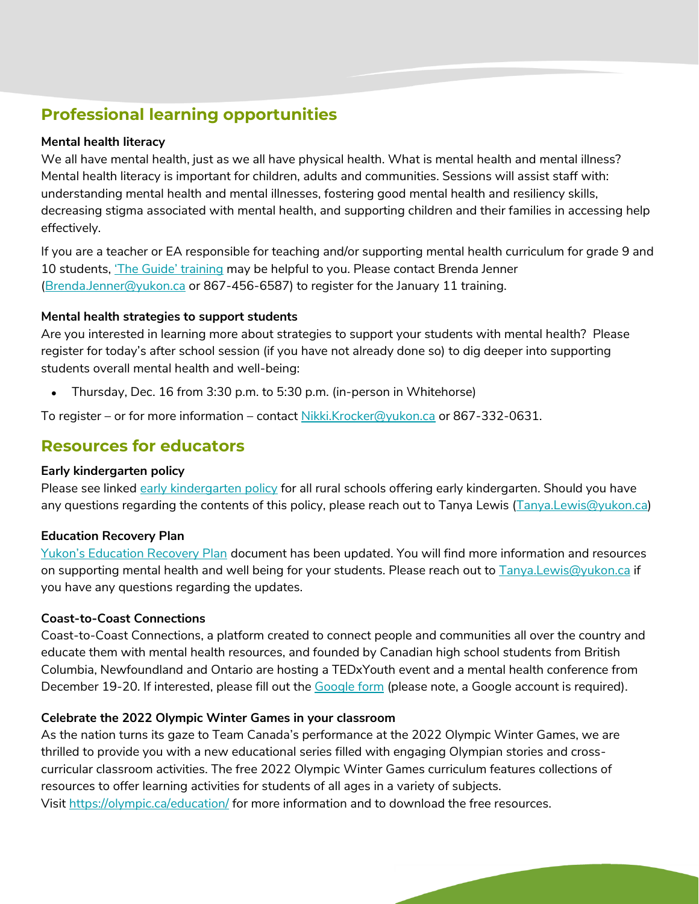## **Professional learning opportunities**

#### <span id="page-2-1"></span>**Mental health literacy**

We all have mental health, just as we all have physical health. What is mental health and mental illness? Mental health literacy is important for children, adults and communities. Sessions will assist staff with: understanding mental health and mental illnesses, fostering good mental health and resiliency skills, decreasing stigma associated with mental health, and supporting children and their families in accessing help effectively.

If you are a teacher or EA responsible for teaching and/or supporting mental health curriculum for grade 9 and 10 students, ['The Guide' training](https://mentalhealthliteracy.org/product/mental-health-high-school-curriculum/) may be helpful to you. Please contact Brenda Jenner [\(Brenda.Jenner@yukon.ca](mailto:Brenda.Jenner@yukon.ca) or 867-456-6587) to register for the January 11 training.

#### **Mental health strategies to support students**

Are you interested in learning more about strategies to support your students with mental health? Please register for today's after school session (if you have not already done so) to dig deeper into supporting students overall mental health and well-being:

Thursday, Dec. 16 from 3:30 p.m. to 5:30 p.m. (in-person in Whitehorse)

To register – or for more information – contact [Nikki.Krocker@yukon.ca](mailto:Nikki.Krocker@yukon.ca) or 867-332-0631.

## <span id="page-2-0"></span>**Resources for educators**

#### <span id="page-2-2"></span>**Early kindergarten policy**

Please see linked [early kindergarten policy](https://yukon.ca/en/early-kindergarten-policy) for all rural schools offering early kindergarten. Should you have any questions regarding the contents of this policy, please reach out to Tanya Lewis [\(Tanya.Lewis@yukon.ca\)](mailto:Tanya.Lewis@yukon.ca)

#### **Education Recovery Plan**

[Yukon's Education Recovery Plan](https://yukon.ca/en/yukon-kindergarten-grade-12-education-recovery-plan) document has been updated. You will find more information and resources on supporting mental health and well being for your students. Please reach out to [Tanya.Lewis@yukon.ca](mailto:Tanya.Lewis@yukon.ca) if you have any questions regarding the updates.

#### **Coast-to-Coast Connections**

Coast-to-Coast Connections, a platform created to connect people and communities all over the country and educate them with mental health resources, and founded by Canadian high school students from British Columbia, Newfoundland and Ontario are hosting a TEDxYouth event and a mental health conference from December 19-20. If interested, please fill out the [Google form](https://forms.gle/f9MmrDMEFmRwT6qR7) (please note, a Google account is required).

#### **Celebrate the 2022 Olympic Winter Games in your classroom**

As the nation turns its gaze to Team Canada's performance at the 2022 Olympic Winter Games, we are thrilled to provide you with a new educational series filled with engaging Olympian stories and crosscurricular classroom activities. The free 2022 Olympic Winter Games curriculum features collections of resources to offer learning activities for students of all ages in a variety of subjects. Visit<https://olympic.ca/education/> for more information and to download the free resources.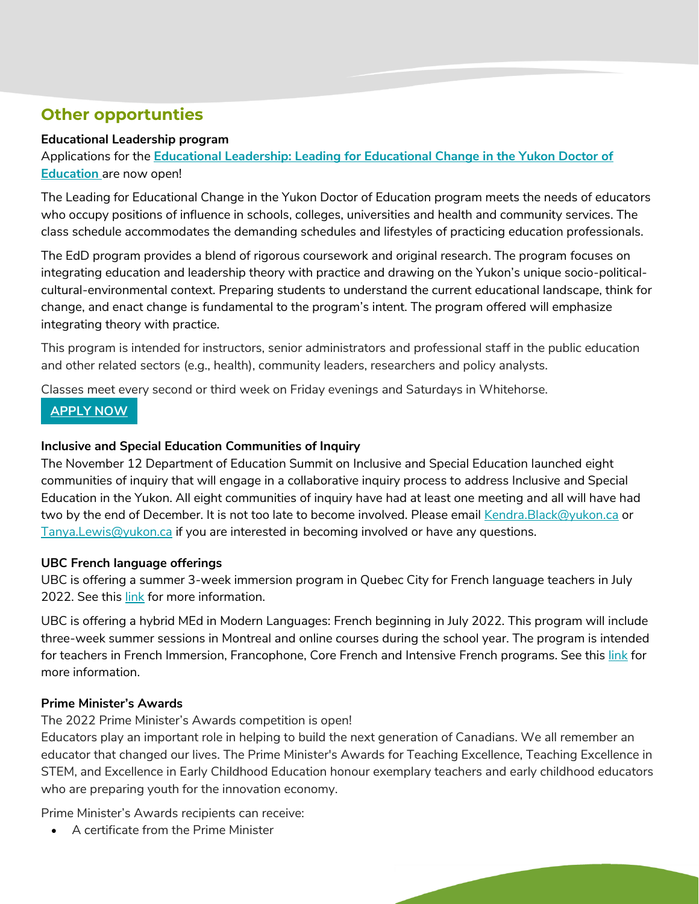## <span id="page-3-0"></span>**Other opportunties**

#### **Educational Leadership program**

Applications for the **[Educational Leadership: Leading for Educational Change in the Yukon Doctor of](https://trk.cp20.com/click/ci05-2h7fh3-qbvgaa-fod2x597/)  [Education](https://trk.cp20.com/click/ci05-2h7fh3-qbvgaa-fod2x597/)** are now open!

The Leading for Educational Change in the Yukon Doctor of Education program meets the needs of educators who occupy positions of influence in schools, colleges, universities and health and community services. The class schedule accommodates the demanding schedules and lifestyles of practicing education professionals.

The EdD program provides a blend of rigorous coursework and original research. The program focuses on integrating education and leadership theory with practice and drawing on the Yukon's unique socio-politicalcultural-environmental context. Preparing students to understand the current educational landscape, think for change, and enact change is fundamental to the program's intent. The program offered will emphasize integrating theory with practice.

This program is intended for instructors, senior administrators and professional staff in the public education and other related sectors (e.g., health), community leaders, researchers and policy analysts.

Classes meet every second or third week on Friday evenings and Saturdays in Whitehorse.

#### **[APPLY NOW](https://trk.cp20.com/click/ci05-2h7fh3-qbvgac-fod2x599/)**

#### **Inclusive and Special Education Communities of Inquiry**

The November 12 Department of Education Summit on Inclusive and Special Education launched eight communities of inquiry that will engage in a collaborative inquiry process to address Inclusive and Special Education in the Yukon. All eight communities of inquiry have had at least one meeting and all will have had two by the end of December. It is not too late to become involved. Please email [Kendra.Black@yukon.ca](mailto:Kendra.Black@yukon.ca) or [Tanya.Lewis@yukon.ca](mailto:Tanya.Lewis@yukon.ca) if you are interested in becoming involved or have any questions.

#### **UBC French language offerings**

UBC is offering a summer 3-week immersion program in Quebec City for French language teachers in July 2022. See this [link](https://pdce.educ.ubc.ca/quebeccity/) for more information.

UBC is offering a hybrid MEd in Modern Languages: French beginning in July 2022. This program will include three-week summer sessions in Montreal and online courses during the school year. The program is intended for teachers in French Immersion, Francophone, Core French and Intensive French programs. See this [link](https://pdce.educ.ubc.ca/med_french-en/) for more information.

#### **Prime Minister's Awards**

The 2022 Prime Minister's Awards competition is open!

Educators play an important role in helping to build the next generation of Canadians. We all remember an educator that changed our lives. The Prime Minister's Awards for Teaching Excellence, Teaching Excellence in STEM, and Excellence in Early Childhood Education honour exemplary teachers and early childhood educators who are preparing youth for the innovation economy.

Prime Minister's Awards recipients can receive:

A certificate from the Prime Minister